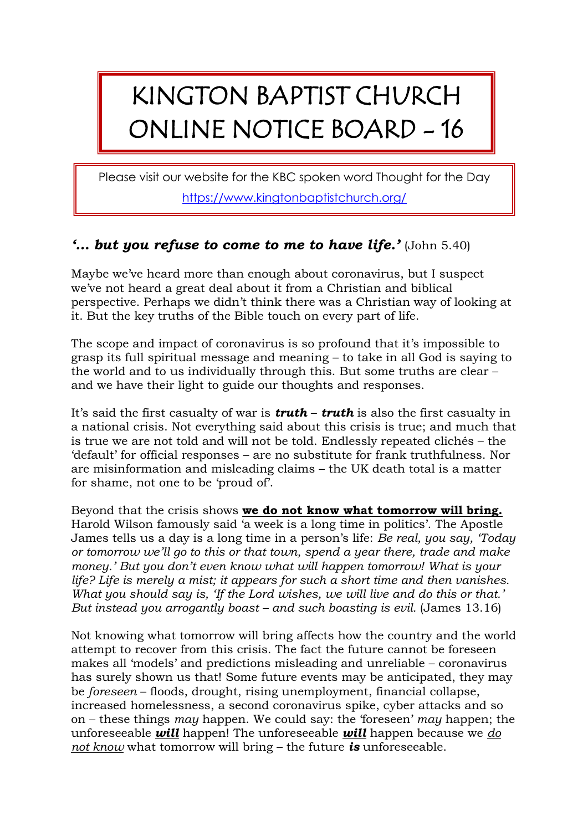## KINGTON BAPTIST CHURCH ONLINE NOTICE BOARD - 16

Please visit our website for the KBC spoken word Thought for the Day <https://www.kingtonbaptistchurch.org/>

## *'… but you refuse to come to me to have life.'* (John 5.40)

Maybe we've heard more than enough about coronavirus, but I suspect we've not heard a great deal about it from a Christian and biblical perspective. Perhaps we didn't think there was a Christian way of looking at it. But the key truths of the Bible touch on every part of life.

The scope and impact of coronavirus is so profound that it's impossible to grasp its full spiritual message and meaning – to take in all God is saying to the world and to us individually through this. But some truths are clear – and we have their light to guide our thoughts and responses.

It's said the first casualty of war is *truth* – *truth* is also the first casualty in a national crisis. Not everything said about this crisis is true; and much that is true we are not told and will not be told. Endlessly repeated clichés – the 'default' for official responses – are no substitute for frank truthfulness. Nor are misinformation and misleading claims – the UK death total is a matter for shame, not one to be 'proud of'.

Beyond that the crisis shows **we do not know what tomorrow will bring.** Harold Wilson famously said 'a week is a long time in politics'. The Apostle James tells us a day is a long time in a person's life: *Be real, you say, 'Today or tomorrow we'll go to this or that town, spend a year there, trade and make money.' But you don't even know what will happen tomorrow! What is your life? Life is merely a mist; it appears for such a short time and then vanishes. What you should say is, 'If the Lord wishes, we will live and do this or that.' But instead you arrogantly boast – and such boasting is evil.* (James 13.16)

Not knowing what tomorrow will bring affects how the country and the world attempt to recover from this crisis. The fact the future cannot be foreseen makes all 'models' and predictions misleading and unreliable – coronavirus has surely shown us that! Some future events may be anticipated, they may be *foreseen* – floods, drought, rising unemployment, financial collapse, increased homelessness, a second coronavirus spike, cyber attacks and so on – these things *may* happen. We could say: the 'foreseen' *may* happen; the unforeseeable *will* happen! The unforeseeable *will* happen because we *do not know* what tomorrow will bring – the future *is* unforeseeable.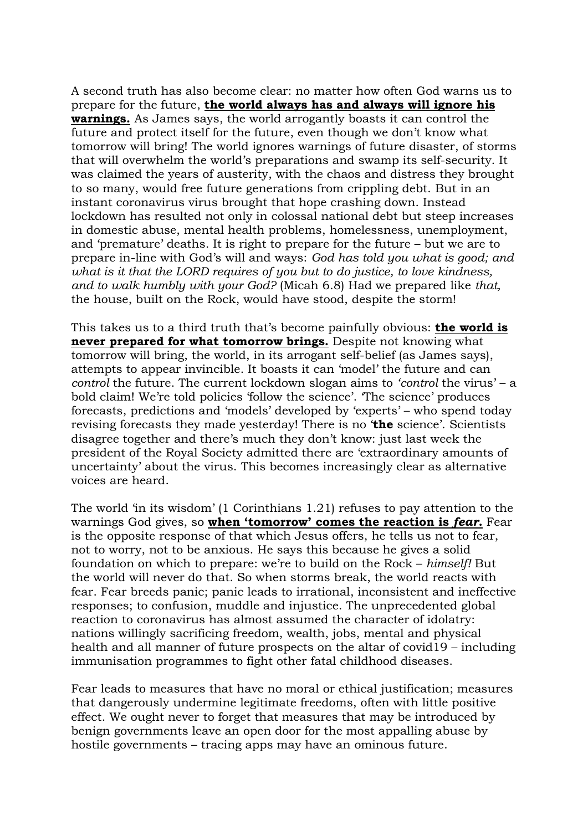A second truth has also become clear: no matter how often God warns us to prepare for the future, **the world always has and always will ignore his warnings.** As James says, the world arrogantly boasts it can control the future and protect itself for the future, even though we don't know what tomorrow will bring! The world ignores warnings of future disaster, of storms that will overwhelm the world's preparations and swamp its self-security. It was claimed the years of austerity, with the chaos and distress they brought to so many, would free future generations from crippling debt. But in an instant coronavirus virus brought that hope crashing down. Instead lockdown has resulted not only in colossal national debt but steep increases in domestic abuse, mental health problems, homelessness, unemployment, and 'premature' deaths. It is right to prepare for the future – but we are to prepare in-line with God's will and ways: *God has told you what is good; and what is it that the LORD requires of you but to do justice, to love kindness, and to walk humbly with your God?* (Micah 6.8) Had we prepared like *that,* the house, built on the Rock, would have stood, despite the storm!

This takes us to a third truth that's become painfully obvious: **the world is never prepared for what tomorrow brings.** Despite not knowing what tomorrow will bring, the world, in its arrogant self-belief (as James says), attempts to appear invincible. It boasts it can 'model' the future and can *control* the future. The current lockdown slogan aims to *'control* the virus' – a bold claim! We're told policies 'follow the science'. 'The science' produces forecasts, predictions and 'models' developed by 'experts' – who spend today revising forecasts they made yesterday! There is no '**the** science'. Scientists disagree together and there's much they don't know: just last week the president of the Royal Society admitted there are 'extraordinary amounts of uncertainty' about the virus. This becomes increasingly clear as alternative voices are heard.

The world 'in its wisdom' (1 Corinthians 1.21) refuses to pay attention to the warnings God gives, so **when 'tomorrow' comes the reaction is** *fear***.** Fear is the opposite response of that which Jesus offers, he tells us not to fear, not to worry, not to be anxious. He says this because he gives a solid foundation on which to prepare: we're to build on the Rock – *himself!* But the world will never do that. So when storms break, the world reacts with fear. Fear breeds panic; panic leads to irrational, inconsistent and ineffective responses; to confusion, muddle and injustice. The unprecedented global reaction to coronavirus has almost assumed the character of idolatry: nations willingly sacrificing freedom, wealth, jobs, mental and physical health and all manner of future prospects on the altar of covid19 – including immunisation programmes to fight other fatal childhood diseases.

Fear leads to measures that have no moral or ethical justification; measures that dangerously undermine legitimate freedoms, often with little positive effect. We ought never to forget that measures that may be introduced by benign governments leave an open door for the most appalling abuse by hostile governments – tracing apps may have an ominous future.